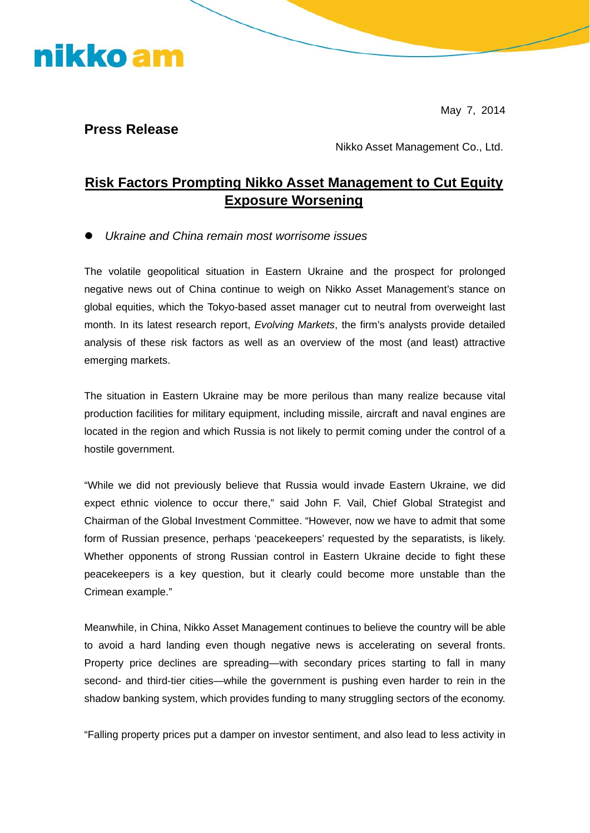nikko am

May 7, 2014

**Press Release** 

Nikko Asset Management Co., Ltd.

### **Risk Factors Prompting Nikko Asset Management to Cut Equity Exposure Worsening**

z *Ukraine and China remain most worrisome issues* 

The volatile geopolitical situation in Eastern Ukraine and the prospect for prolonged negative news out of China continue to weigh on Nikko Asset Management's stance on global equities, which the Tokyo-based asset manager cut to neutral from overweight last month. In its latest research report, *Evolving Markets*, the firm's analysts provide detailed analysis of these risk factors as well as an overview of the most (and least) attractive emerging markets.

The situation in Eastern Ukraine may be more perilous than many realize because vital production facilities for military equipment, including missile, aircraft and naval engines are located in the region and which Russia is not likely to permit coming under the control of a hostile government.

"While we did not previously believe that Russia would invade Eastern Ukraine, we did expect ethnic violence to occur there," said John F. Vail, Chief Global Strategist and Chairman of the Global Investment Committee. "However, now we have to admit that some form of Russian presence, perhaps 'peacekeepers' requested by the separatists, is likely. Whether opponents of strong Russian control in Eastern Ukraine decide to fight these peacekeepers is a key question, but it clearly could become more unstable than the Crimean example."

Meanwhile, in China, Nikko Asset Management continues to believe the country will be able to avoid a hard landing even though negative news is accelerating on several fronts. Property price declines are spreading—with secondary prices starting to fall in many second- and third-tier cities—while the government is pushing even harder to rein in the shadow banking system, which provides funding to many struggling sectors of the economy.

"Falling property prices put a damper on investor sentiment, and also lead to less activity in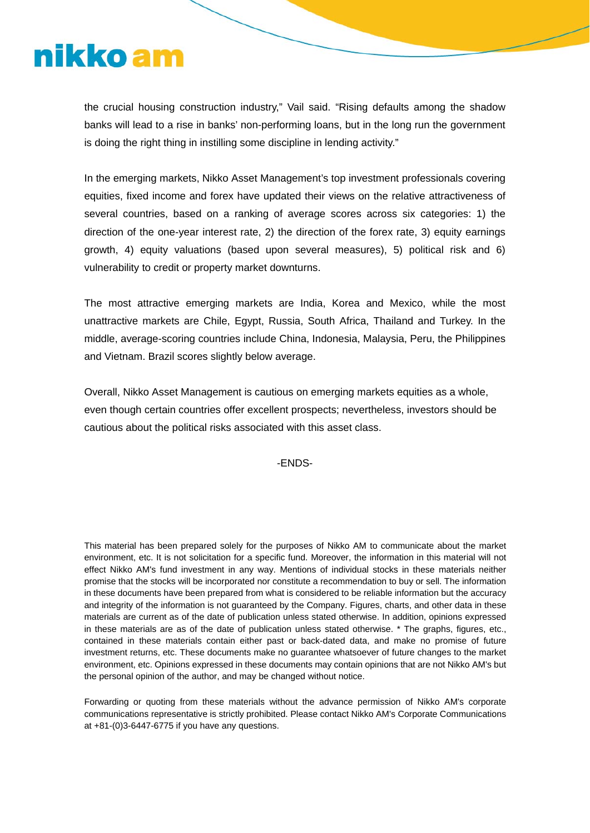# nikko am

the crucial housing construction industry," Vail said. "Rising defaults among the shadow banks will lead to a rise in banks' non-performing loans, but in the long run the government is doing the right thing in instilling some discipline in lending activity."

In the emerging markets, Nikko Asset Management's top investment professionals covering equities, fixed income and forex have updated their views on the relative attractiveness of several countries, based on a ranking of average scores across six categories: 1) the direction of the one-year interest rate, 2) the direction of the forex rate, 3) equity earnings growth, 4) equity valuations (based upon several measures), 5) political risk and 6) vulnerability to credit or property market downturns.

The most attractive emerging markets are India, Korea and Mexico, while the most unattractive markets are Chile, Egypt, Russia, South Africa, Thailand and Turkey. In the middle, average-scoring countries include China, Indonesia, Malaysia, Peru, the Philippines and Vietnam. Brazil scores slightly below average.

Overall, Nikko Asset Management is cautious on emerging markets equities as a whole, even though certain countries offer excellent prospects; nevertheless, investors should be cautious about the political risks associated with this asset class.

#### -ENDS-

This material has been prepared solely for the purposes of Nikko AM to communicate about the market environment, etc. It is not solicitation for a specific fund. Moreover, the information in this material will not effect Nikko AM's fund investment in any way. Mentions of individual stocks in these materials neither promise that the stocks will be incorporated nor constitute a recommendation to buy or sell. The information in these documents have been prepared from what is considered to be reliable information but the accuracy and integrity of the information is not guaranteed by the Company. Figures, charts, and other data in these materials are current as of the date of publication unless stated otherwise. In addition, opinions expressed in these materials are as of the date of publication unless stated otherwise. \* The graphs, figures, etc., contained in these materials contain either past or back-dated data, and make no promise of future investment returns, etc. These documents make no guarantee whatsoever of future changes to the market environment, etc. Opinions expressed in these documents may contain opinions that are not Nikko AM's but the personal opinion of the author, and may be changed without notice.

Forwarding or quoting from these materials without the advance permission of Nikko AM's corporate communications representative is strictly prohibited. Please contact Nikko AM's Corporate Communications at +81-(0)3-6447-6775 if you have any questions.